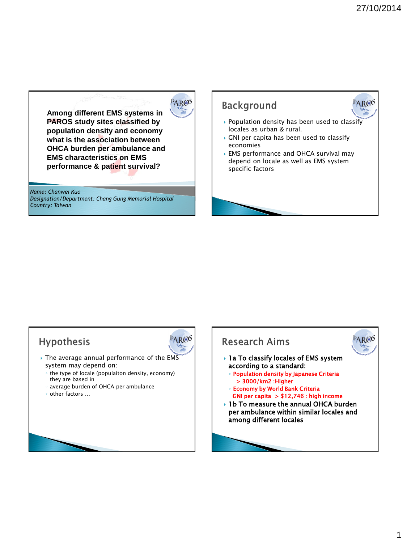PAR®S

**Among different EMS systems in PAROS study sites classified by population density and economy what is the association between OHCA burden per ambulance and EMS characteristics on EMS performance & patient survival?**

*Name: Chanwei Kuo Designation/Department: Chang Gung Memorial Hospital Country: Taiwan* 



#### Hypothesis

- ▸ The average annual performance of the EMS system may depend on:
	- the type of locale (populaiton density, economy) they are based in
	- average burden of OHCA per ambulance
	- other factors …



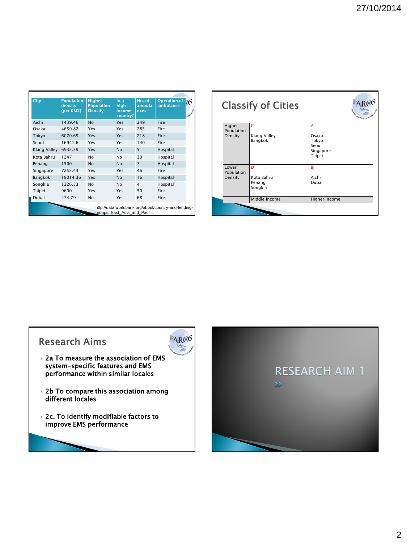| City         | <b>Population</b><br>density<br>(per KM2) | <b>Higher</b><br><b>Population</b><br><b>Density</b> | In a<br>hiah-<br>income<br>country? | No. of<br>ambula<br>nces | <b>Operation of</b><br>ambulance |
|--------------|-------------------------------------------|------------------------------------------------------|-------------------------------------|--------------------------|----------------------------------|
| Aichi        | 1439.46                                   | <b>No</b>                                            | Yes                                 | 249                      | Fire                             |
| Osaka        | 4659.82                                   | Yes                                                  | Yes                                 | 285                      | Fire                             |
| Tokyo        | 6070.69                                   | Yes                                                  | Yes                                 | 218                      | Fire                             |
| Seoul        | 16941.6                                   | Yes                                                  | Yes                                 | 140                      | Fire                             |
| Klang Valley | 6932.39                                   | Yes                                                  | <b>No</b>                           | 5                        | Hospital                         |
| Kota Bahru   | 1247                                      | <b>No</b>                                            | <b>No</b>                           | 30                       | Hospital                         |
| Penang       | 1500                                      | <b>No</b>                                            | <b>No</b>                           | $\overline{7}$           | Hospital                         |
| Singapore    | 7252.43                                   | Yes                                                  | Yes                                 | 46                       | Fire                             |
| Bangkok      | 19014.36                                  | Yes                                                  | <b>No</b>                           | 16                       | Hospital                         |
| Songkla      | 1326.53                                   | <b>No</b>                                            | <b>No</b>                           | 4                        | Hospital                         |
| Taipei       | 9600                                      | Yes                                                  | Yes                                 | 50                       | Fire                             |
| Dubai        | 474.79                                    | <b>No</b>                                            | Yes                                 | 68                       | Fire                             |





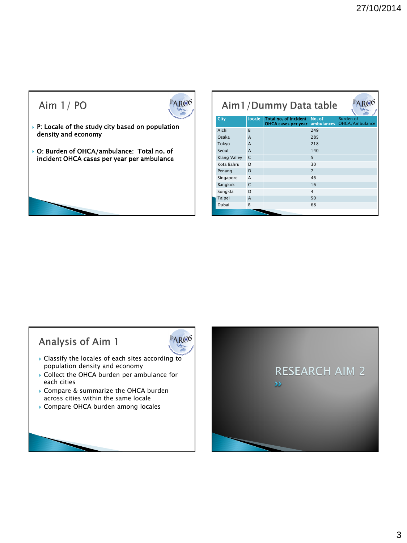#### Aim  $1/$  PO



PAR®<sup>S</sup>

- $\rightarrow$  P: Locale of the study city based on population density and economy
- O: Burden of OHCA/ambulance: Total no. of incident OHCA cases per year per ambulance

| Aim1/Dummy Data table              |  |  |  |  |  |
|------------------------------------|--|--|--|--|--|
| <b>Burden of</b><br>OHCA/Ambulance |  |  |  |  |  |
|                                    |  |  |  |  |  |
|                                    |  |  |  |  |  |
|                                    |  |  |  |  |  |
|                                    |  |  |  |  |  |
|                                    |  |  |  |  |  |
|                                    |  |  |  |  |  |
|                                    |  |  |  |  |  |
|                                    |  |  |  |  |  |
|                                    |  |  |  |  |  |
|                                    |  |  |  |  |  |
|                                    |  |  |  |  |  |
|                                    |  |  |  |  |  |
|                                    |  |  |  |  |  |

## Analysis of Aim 1

- Classify the locales of each sites according to population density and economy
- ▶ Collect the OHCA burden per ambulance for each cities
- ▶ Compare & summarize the OHCA burden across cities within the same locale
- Compare OHCA burden among locales

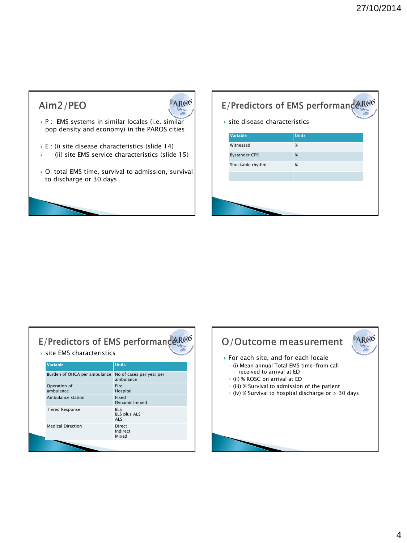## Aim2/PEO



- P : EMS systems in similar locales (i.e. similar pop density and economy) in the PAROS cities
- E : (i) site disease characteristics (slide 14)
- (ii) site EMS service characteristics (slide 15)
- ▶ O: total EMS time, survival to admission, survival to discharge or 30 days

# E/Predictors of EMS performançers

site disease characteristics

| Variable             | <b>Units</b> |
|----------------------|--------------|
| Witnessed            | %            |
| <b>Bystander CPR</b> | %            |
| Shockable rhythm     | %            |
|                      |              |
|                      |              |
|                      |              |
|                      |              |

### E/Predictors of EMS performanceR@S site EMS characteristics

| Variable                     | <b>Units</b>                                    |
|------------------------------|-------------------------------------------------|
| Burden of OHCA per ambulance | No of cases per year per<br>ambulance           |
| Operation of<br>ambulance    | Fire<br>Hospital                                |
| Ambulance station            | Fixed<br>Dynamic/mixed                          |
| <b>Tiered Response</b>       | <b>BLS</b><br><b>BLS plus ALS</b><br><b>ALS</b> |
| <b>Medical Direction</b>     | Direct<br>Indirect<br>Mixed                     |